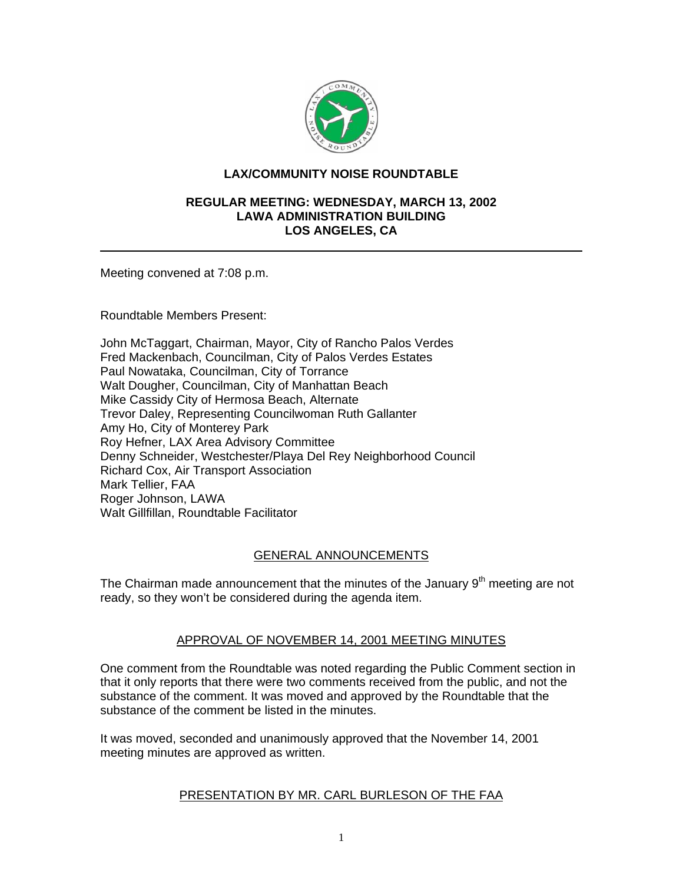

# **LAX/COMMUNITY NOISE ROUNDTABLE**

#### **REGULAR MEETING: WEDNESDAY, MARCH 13, 2002 LAWA ADMINISTRATION BUILDING LOS ANGELES, CA**

Meeting convened at 7:08 p.m.

Roundtable Members Present:

John McTaggart, Chairman, Mayor, City of Rancho Palos Verdes Fred Mackenbach, Councilman, City of Palos Verdes Estates Paul Nowataka, Councilman, City of Torrance Walt Dougher, Councilman, City of Manhattan Beach Mike Cassidy City of Hermosa Beach, Alternate Trevor Daley, Representing Councilwoman Ruth Gallanter Amy Ho, City of Monterey Park Roy Hefner, LAX Area Advisory Committee Denny Schneider, Westchester/Playa Del Rey Neighborhood Council Richard Cox, Air Transport Association Mark Tellier, FAA Roger Johnson, LAWA Walt Gillfillan, Roundtable Facilitator

# GENERAL ANNOUNCEMENTS

The Chairman made announcement that the minutes of the January  $9<sup>th</sup>$  meeting are not ready, so they won't be considered during the agenda item.

# APPROVAL OF NOVEMBER 14, 2001 MEETING MINUTES

One comment from the Roundtable was noted regarding the Public Comment section in that it only reports that there were two comments received from the public, and not the substance of the comment. It was moved and approved by the Roundtable that the substance of the comment be listed in the minutes.

It was moved, seconded and unanimously approved that the November 14, 2001 meeting minutes are approved as written.

# PRESENTATION BY MR. CARL BURLESON OF THE FAA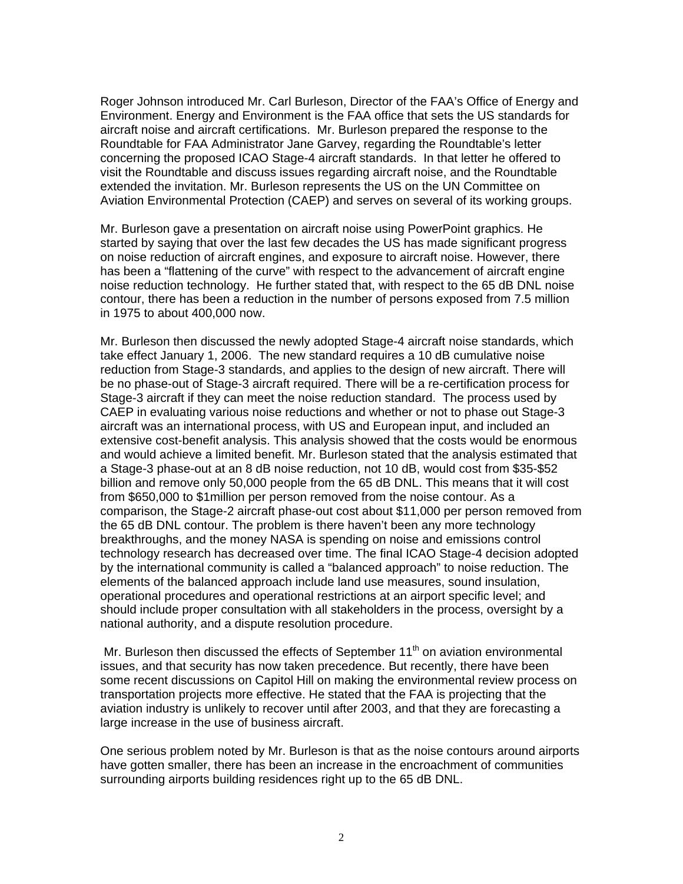Roger Johnson introduced Mr. Carl Burleson, Director of the FAA's Office of Energy and Environment. Energy and Environment is the FAA office that sets the US standards for aircraft noise and aircraft certifications. Mr. Burleson prepared the response to the Roundtable for FAA Administrator Jane Garvey, regarding the Roundtable's letter concerning the proposed ICAO Stage-4 aircraft standards. In that letter he offered to visit the Roundtable and discuss issues regarding aircraft noise, and the Roundtable extended the invitation. Mr. Burleson represents the US on the UN Committee on Aviation Environmental Protection (CAEP) and serves on several of its working groups.

Mr. Burleson gave a presentation on aircraft noise using PowerPoint graphics. He started by saying that over the last few decades the US has made significant progress on noise reduction of aircraft engines, and exposure to aircraft noise. However, there has been a "flattening of the curve" with respect to the advancement of aircraft engine noise reduction technology. He further stated that, with respect to the 65 dB DNL noise contour, there has been a reduction in the number of persons exposed from 7.5 million in 1975 to about 400,000 now.

Mr. Burleson then discussed the newly adopted Stage-4 aircraft noise standards, which take effect January 1, 2006. The new standard requires a 10 dB cumulative noise reduction from Stage-3 standards, and applies to the design of new aircraft. There will be no phase-out of Stage-3 aircraft required. There will be a re-certification process for Stage-3 aircraft if they can meet the noise reduction standard. The process used by CAEP in evaluating various noise reductions and whether or not to phase out Stage-3 aircraft was an international process, with US and European input, and included an extensive cost-benefit analysis. This analysis showed that the costs would be enormous and would achieve a limited benefit. Mr. Burleson stated that the analysis estimated that a Stage-3 phase-out at an 8 dB noise reduction, not 10 dB, would cost from \$35-\$52 billion and remove only 50,000 people from the 65 dB DNL. This means that it will cost from \$650,000 to \$1million per person removed from the noise contour. As a comparison, the Stage-2 aircraft phase-out cost about \$11,000 per person removed from the 65 dB DNL contour. The problem is there haven't been any more technology breakthroughs, and the money NASA is spending on noise and emissions control technology research has decreased over time. The final ICAO Stage-4 decision adopted by the international community is called a "balanced approach" to noise reduction. The elements of the balanced approach include land use measures, sound insulation, operational procedures and operational restrictions at an airport specific level; and should include proper consultation with all stakeholders in the process, oversight by a national authority, and a dispute resolution procedure.

Mr. Burleson then discussed the effects of September  $11<sup>th</sup>$  on aviation environmental issues, and that security has now taken precedence. But recently, there have been some recent discussions on Capitol Hill on making the environmental review process on transportation projects more effective. He stated that the FAA is projecting that the aviation industry is unlikely to recover until after 2003, and that they are forecasting a large increase in the use of business aircraft.

One serious problem noted by Mr. Burleson is that as the noise contours around airports have gotten smaller, there has been an increase in the encroachment of communities surrounding airports building residences right up to the 65 dB DNL.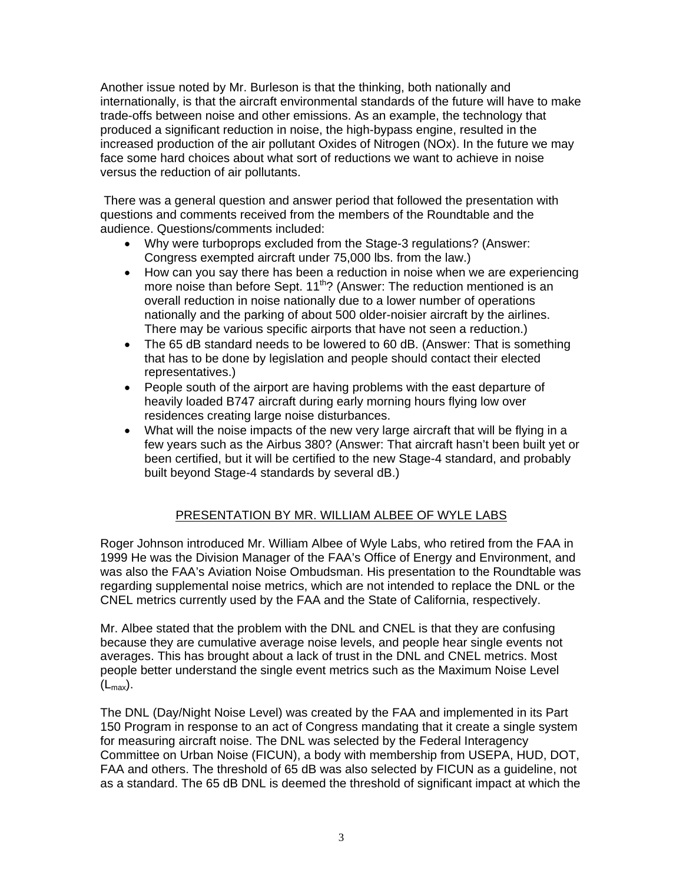Another issue noted by Mr. Burleson is that the thinking, both nationally and internationally, is that the aircraft environmental standards of the future will have to make trade-offs between noise and other emissions. As an example, the technology that produced a significant reduction in noise, the high-bypass engine, resulted in the increased production of the air pollutant Oxides of Nitrogen (NOx). In the future we may face some hard choices about what sort of reductions we want to achieve in noise versus the reduction of air pollutants.

 There was a general question and answer period that followed the presentation with questions and comments received from the members of the Roundtable and the audience. Questions/comments included:

- Why were turboprops excluded from the Stage-3 regulations? (Answer: Congress exempted aircraft under 75,000 lbs. from the law.)
- How can you say there has been a reduction in noise when we are experiencing more noise than before Sept. 11<sup>th</sup>? (Answer: The reduction mentioned is an overall reduction in noise nationally due to a lower number of operations nationally and the parking of about 500 older-noisier aircraft by the airlines. There may be various specific airports that have not seen a reduction.)
- The 65 dB standard needs to be lowered to 60 dB. (Answer: That is something that has to be done by legislation and people should contact their elected representatives.)
- People south of the airport are having problems with the east departure of heavily loaded B747 aircraft during early morning hours flying low over residences creating large noise disturbances.
- What will the noise impacts of the new very large aircraft that will be flying in a few years such as the Airbus 380? (Answer: That aircraft hasn't been built yet or been certified, but it will be certified to the new Stage-4 standard, and probably built beyond Stage-4 standards by several dB.)

# PRESENTATION BY MR. WILLIAM ALBEE OF WYLE LABS

Roger Johnson introduced Mr. William Albee of Wyle Labs, who retired from the FAA in 1999 He was the Division Manager of the FAA's Office of Energy and Environment, and was also the FAA's Aviation Noise Ombudsman. His presentation to the Roundtable was regarding supplemental noise metrics, which are not intended to replace the DNL or the CNEL metrics currently used by the FAA and the State of California, respectively.

Mr. Albee stated that the problem with the DNL and CNEL is that they are confusing because they are cumulative average noise levels, and people hear single events not averages. This has brought about a lack of trust in the DNL and CNEL metrics. Most people better understand the single event metrics such as the Maximum Noise Level  $(L_{\text{max}})$ .

The DNL (Day/Night Noise Level) was created by the FAA and implemented in its Part 150 Program in response to an act of Congress mandating that it create a single system for measuring aircraft noise. The DNL was selected by the Federal Interagency Committee on Urban Noise (FICUN), a body with membership from USEPA, HUD, DOT, FAA and others. The threshold of 65 dB was also selected by FICUN as a guideline, not as a standard. The 65 dB DNL is deemed the threshold of significant impact at which the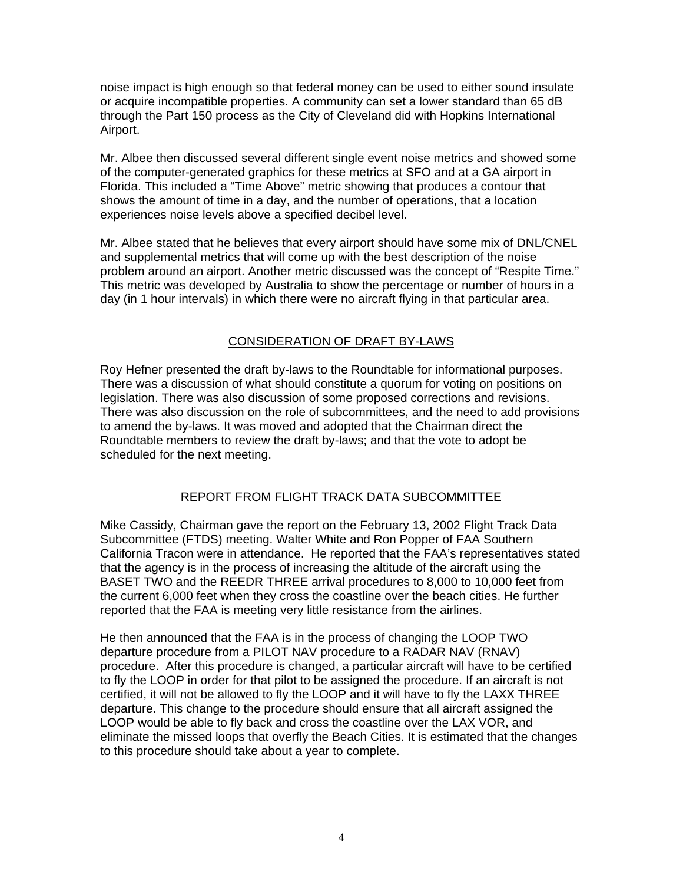noise impact is high enough so that federal money can be used to either sound insulate or acquire incompatible properties. A community can set a lower standard than 65 dB through the Part 150 process as the City of Cleveland did with Hopkins International Airport.

Mr. Albee then discussed several different single event noise metrics and showed some of the computer-generated graphics for these metrics at SFO and at a GA airport in Florida. This included a "Time Above" metric showing that produces a contour that shows the amount of time in a day, and the number of operations, that a location experiences noise levels above a specified decibel level.

Mr. Albee stated that he believes that every airport should have some mix of DNL/CNEL and supplemental metrics that will come up with the best description of the noise problem around an airport. Another metric discussed was the concept of "Respite Time." This metric was developed by Australia to show the percentage or number of hours in a day (in 1 hour intervals) in which there were no aircraft flying in that particular area.

# CONSIDERATION OF DRAFT BY-LAWS

Roy Hefner presented the draft by-laws to the Roundtable for informational purposes. There was a discussion of what should constitute a quorum for voting on positions on legislation. There was also discussion of some proposed corrections and revisions. There was also discussion on the role of subcommittees, and the need to add provisions to amend the by-laws. It was moved and adopted that the Chairman direct the Roundtable members to review the draft by-laws; and that the vote to adopt be scheduled for the next meeting.

# REPORT FROM FLIGHT TRACK DATA SUBCOMMITTEE

Mike Cassidy, Chairman gave the report on the February 13, 2002 Flight Track Data Subcommittee (FTDS) meeting. Walter White and Ron Popper of FAA Southern California Tracon were in attendance. He reported that the FAA's representatives stated that the agency is in the process of increasing the altitude of the aircraft using the BASET TWO and the REEDR THREE arrival procedures to 8,000 to 10,000 feet from the current 6,000 feet when they cross the coastline over the beach cities. He further reported that the FAA is meeting very little resistance from the airlines.

He then announced that the FAA is in the process of changing the LOOP TWO departure procedure from a PILOT NAV procedure to a RADAR NAV (RNAV) procedure. After this procedure is changed, a particular aircraft will have to be certified to fly the LOOP in order for that pilot to be assigned the procedure. If an aircraft is not certified, it will not be allowed to fly the LOOP and it will have to fly the LAXX THREE departure. This change to the procedure should ensure that all aircraft assigned the LOOP would be able to fly back and cross the coastline over the LAX VOR, and eliminate the missed loops that overfly the Beach Cities. It is estimated that the changes to this procedure should take about a year to complete.